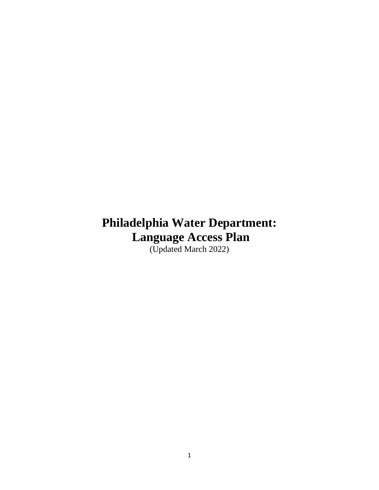# **Philadelphia Water Department: Language Access Plan**

(Updated March 2022)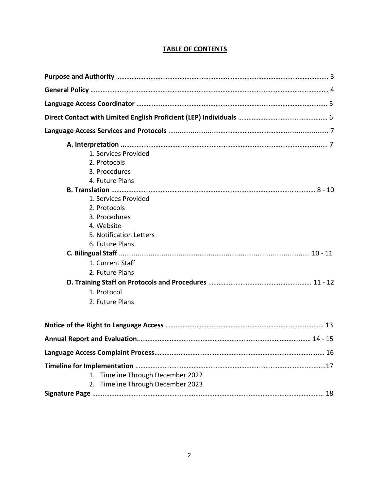## **TABLE OF CONTENTS**

| 1. Services Provided                 |
|--------------------------------------|
| 2. Protocols                         |
| 3. Procedures                        |
| 4. Future Plans                      |
|                                      |
| 1. Services Provided                 |
| 2. Protocols                         |
| 3. Procedures                        |
| 4. Website                           |
| 5. Notification Letters              |
| 6. Future Plans                      |
|                                      |
| 1. Current Staff                     |
| 2. Future Plans                      |
|                                      |
| 1. Protocol                          |
| 2. Future Plans                      |
|                                      |
|                                      |
|                                      |
|                                      |
| Timeline Through December 2022<br>1. |
| 2. Timeline Through December 2023    |
|                                      |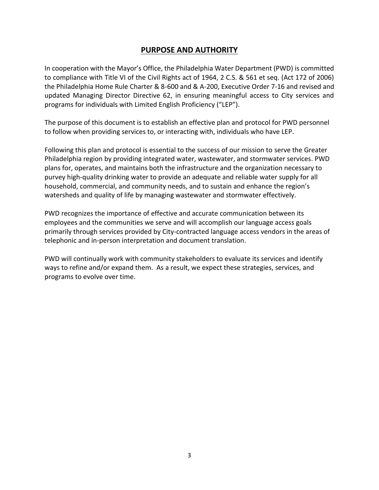## **PURPOSE AND AUTHORITY**

In cooperation with the Mayor's Office, the Philadelphia Water Department (PWD) is committed to compliance with Title VI of the Civil Rights act of 1964, 2 C.S. & 561 et seq. (Act 172 of 2006) the Philadelphia Home Rule Charter & 8-600 and & A-200, Executive Order 7-16 and revised and updated Managing Director Directive 62, in ensuring meaningful access to City services and programs for individuals with Limited English Proficiency ("LEP").

The purpose of this document is to establish an effective plan and protocol for PWD personnel to follow when providing services to, or interacting with, individuals who have LEP.

Following this plan and protocol is essential to the success of our mission to serve the Greater Philadelphia region by providing integrated water, wastewater, and stormwater services. PWD plans for, operates, and maintains both the infrastructure and the organization necessary to purvey high-quality drinking water to provide an adequate and reliable water supply for all household, commercial, and community needs, and to sustain and enhance the region's watersheds and quality of life by managing wastewater and stormwater effectively.

PWD recognizes the importance of effective and accurate communication between its employees and the communities we serve and will accomplish our language access goals primarily through services provided by City-contracted language access vendors in the areas of telephonic and in-person interpretation and document translation.

PWD will continually work with community stakeholders to evaluate its services and identify ways to refine and/or expand them. As a result, we expect these strategies, services, and programs to evolve over time.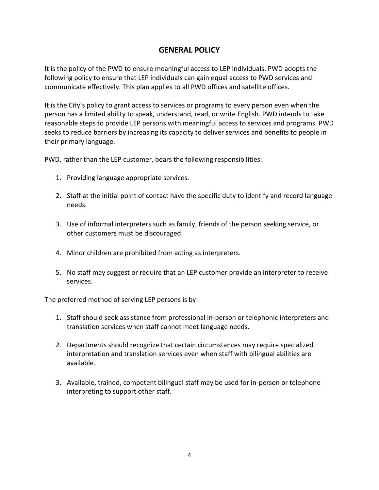## **GENERAL POLICY**

It is the policy of the PWD to ensure meaningful access to LEP individuals. PWD adopts the following policy to ensure that LEP individuals can gain equal access to PWD services and communicate effectively. This plan applies to all PWD offices and satellite offices.

It is the City's policy to grant access to services or programs to every person even when the person has a limited ability to speak, understand, read, or write English. PWD intends to take reasonable steps to provide LEP persons with meaningful access to services and programs. PWD seeks to reduce barriers by increasing its capacity to deliver services and benefits to people in their primary language.

PWD, rather than the LEP customer, bears the following responsibilities:

- 1. Providing language appropriate services.
- 2. Staff at the initial point of contact have the specific duty to identify and record language needs.
- 3. Use of informal interpreters such as family, friends of the person seeking service, or other customers must be discouraged.
- 4. Minor children are prohibited from acting as interpreters.
- 5. No staff may suggest or require that an LEP customer provide an interpreter to receive services.

The preferred method of serving LEP persons is by:

- 1. Staff should seek assistance from professional in-person or telephonic interpreters and translation services when staff cannot meet language needs.
- 2. Departments should recognize that certain circumstances may require specialized interpretation and translation services even when staff with bilingual abilities are available.
- 3. Available, trained, competent bilingual staff may be used for in-person or telephone interpreting to support other staff.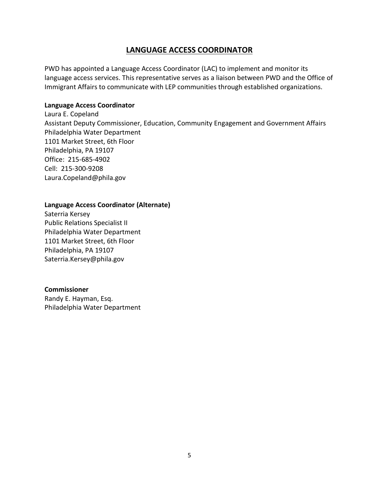## **LANGUAGE ACCESS COORDINATOR**

PWD has appointed a Language Access Coordinator (LAC) to implement and monitor its language access services. This representative serves as a liaison between PWD and the Office of Immigrant Affairs to communicate with LEP communities through established organizations.

#### **Language Access Coordinator**

Laura E. Copeland Assistant Deputy Commissioner, Education, Community Engagement and Government Affairs Philadelphia Water Department 1101 Market Street, 6th Floor Philadelphia, PA 19107 Office: 215-685-4902 Cell: 215-300-9208 Laura.Copeland@phila.gov

#### **Language Access Coordinator (Alternate)**

Saterria Kersey Public Relations Specialist II Philadelphia Water Department 1101 Market Street, 6th Floor Philadelphia, PA 19107 Saterria.Kersey@phila.gov

#### **Commissioner**

Randy E. Hayman, Esq. Philadelphia Water Department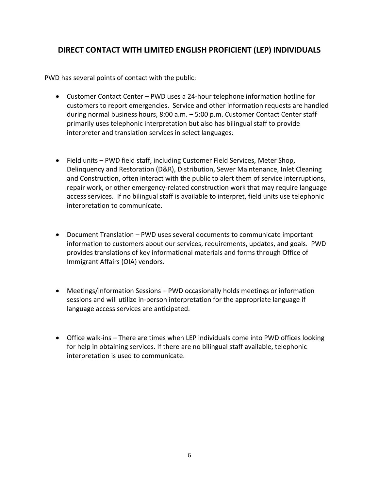## **DIRECT CONTACT WITH LIMITED ENGLISH PROFICIENT (LEP) INDIVIDUALS**

PWD has several points of contact with the public:

- Customer Contact Center PWD uses a 24-hour telephone information hotline for customers to report emergencies. Service and other information requests are handled during normal business hours, 8:00 a.m. – 5:00 p.m. Customer Contact Center staff primarily uses telephonic interpretation but also has bilingual staff to provide interpreter and translation services in select languages.
- Field units PWD field staff, including Customer Field Services, Meter Shop, Delinquency and Restoration (D&R), Distribution, Sewer Maintenance, Inlet Cleaning and Construction, often interact with the public to alert them of service interruptions, repair work, or other emergency-related construction work that may require language access services. If no bilingual staff is available to interpret, field units use telephonic interpretation to communicate.
- Document Translation PWD uses several documents to communicate important information to customers about our services, requirements, updates, and goals. PWD provides translations of key informational materials and forms through Office of Immigrant Affairs (OIA) vendors.
- Meetings/Information Sessions PWD occasionally holds meetings or information sessions and will utilize in-person interpretation for the appropriate language if language access services are anticipated.
- Office walk-ins There are times when LEP individuals come into PWD offices looking for help in obtaining services. If there are no bilingual staff available, telephonic interpretation is used to communicate.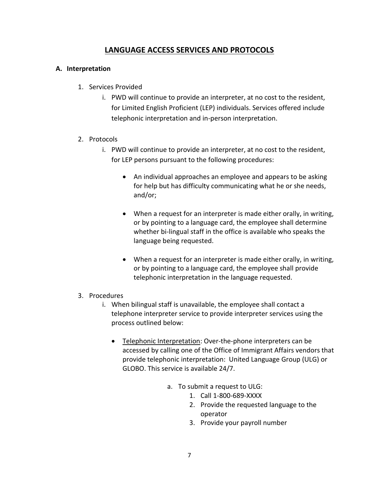## **LANGUAGE ACCESS SERVICES AND PROTOCOLS**

#### **A. Interpretation**

- 1. Services Provided
	- i. PWD will continue to provide an interpreter, at no cost to the resident, for Limited English Proficient (LEP) individuals. Services offered include telephonic interpretation and in-person interpretation.
- 2. Protocols
	- i. PWD will continue to provide an interpreter, at no cost to the resident, for LEP persons pursuant to the following procedures:
		- An individual approaches an employee and appears to be asking for help but has difficulty communicating what he or she needs, and/or;
		- When a request for an interpreter is made either orally, in writing, or by pointing to a language card, the employee shall determine whether bi-lingual staff in the office is available who speaks the language being requested.
		- When a request for an interpreter is made either orally, in writing, or by pointing to a language card, the employee shall provide telephonic interpretation in the language requested.
- 3. Procedures
	- i. When bilingual staff is unavailable, the employee shall contact a telephone interpreter service to provide interpreter services using the process outlined below:
		- Telephonic Interpretation: Over-the-phone interpreters can be accessed by calling one of the Office of Immigrant Affairs vendors that provide telephonic interpretation: United Language Group (ULG) or GLOBO. This service is available 24/7.
			- a. To submit a request to ULG:
				- 1. Call 1-800-689-XXXX
				- 2. Provide the requested language to the operator
				- 3. Provide your payroll number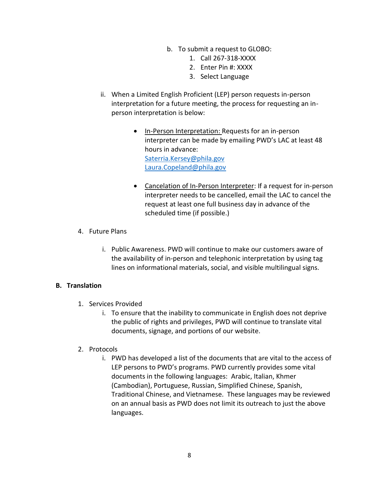- b. To submit a request to GLOBO:
	- 1. Call 267-318-XXXX
	- 2. Enter Pin #: XXXX
	- 3. Select Language
- ii. When a Limited English Proficient (LEP) person requests in-person interpretation for a future meeting, the process for requesting an inperson interpretation is below:
	- In-Person Interpretation: Requests for an in-person interpreter can be made by emailing PWD's LAC at least 48 hours in advance: [Saterria.Kersey@phila.gov](mailto:Saterria.Kersey@phila.gov) [Laura.Copeland@phila.gov](mailto:Laura.Copeland@phila.gov)
	- Cancelation of In-Person Interpreter: If a request for in-person interpreter needs to be cancelled, email the LAC to cancel the request at least one full business day in advance of the scheduled time (if possible.)
- 4. Future Plans
	- i. Public Awareness. PWD will continue to make our customers aware of the availability of in-person and telephonic interpretation by using tag lines on informational materials, social, and visible multilingual signs.

#### **B. Translation**

- 1. Services Provided
	- i. To ensure that the inability to communicate in English does not deprive the public of rights and privileges, PWD will continue to translate vital documents, signage, and portions of our website.
- 2. Protocols
	- i. PWD has developed a list of the documents that are vital to the access of LEP persons to PWD's programs. PWD currently provides some vital documents in the following languages: Arabic, Italian, Khmer (Cambodian), Portuguese, Russian, Simplified Chinese, Spanish, Traditional Chinese, and Vietnamese. These languages may be reviewed on an annual basis as PWD does not limit its outreach to just the above languages.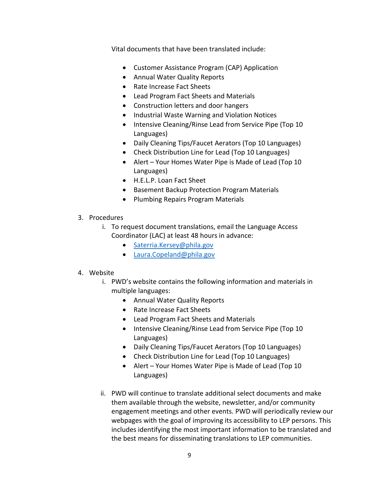Vital documents that have been translated include:

- Customer Assistance Program (CAP) Application
- Annual Water Quality Reports
- Rate Increase Fact Sheets
- Lead Program Fact Sheets and Materials
- Construction letters and door hangers
- Industrial Waste Warning and Violation Notices
- Intensive Cleaning/Rinse Lead from Service Pipe (Top 10 Languages)
- Daily Cleaning Tips/Faucet Aerators (Top 10 Languages)
- Check Distribution Line for Lead (Top 10 Languages)
- Alert Your Homes Water Pipe is Made of Lead (Top 10 Languages)
- H.E.L.P. Loan Fact Sheet
- Basement Backup Protection Program Materials
- Plumbing Repairs Program Materials
- 3. Procedures
	- i. To request document translations, email the Language Access Coordinator (LAC) at least 48 hours in advance:
		- [Saterria.Kersey@phila.gov](mailto:Saterria.Kersey@phila.gov)
		- [Laura.Copeland@phila.gov](mailto:Laura.Copeland@phila.gov)

#### 4. Website

- i. PWD's website contains the following information and materials in multiple languages:
	- Annual Water Quality Reports
	- Rate Increase Fact Sheets
	- Lead Program Fact Sheets and Materials
	- Intensive Cleaning/Rinse Lead from Service Pipe (Top 10 Languages)
	- Daily Cleaning Tips/Faucet Aerators (Top 10 Languages)
	- Check Distribution Line for Lead (Top 10 Languages)
	- Alert Your Homes Water Pipe is Made of Lead (Top 10 Languages)
- ii. PWD will continue to translate additional select documents and make them available through the website, newsletter, and/or community engagement meetings and other events. PWD will periodically review our webpages with the goal of improving its accessibility to LEP persons. This includes identifying the most important information to be translated and the best means for disseminating translations to LEP communities.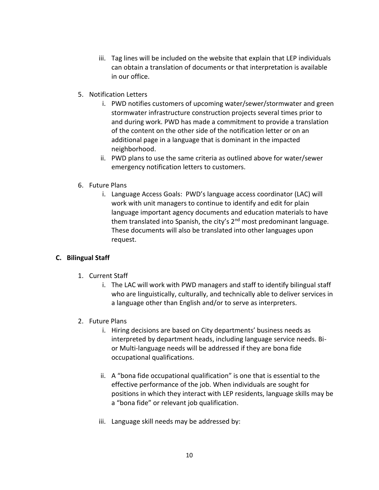- iii. Tag lines will be included on the website that explain that LEP individuals can obtain a translation of documents or that interpretation is available in our office.
- 5. Notification Letters
	- i. PWD notifies customers of upcoming water/sewer/stormwater and green stormwater infrastructure construction projects several times prior to and during work. PWD has made a commitment to provide a translation of the content on the other side of the notification letter or on an additional page in a language that is dominant in the impacted neighborhood.
	- ii. PWD plans to use the same criteria as outlined above for water/sewer emergency notification letters to customers.
- 6. Future Plans
	- i. Language Access Goals: PWD's language access coordinator (LAC) will work with unit managers to continue to identify and edit for plain language important agency documents and education materials to have them translated into Spanish, the city's  $2<sup>nd</sup>$  most predominant language. These documents will also be translated into other languages upon request.

## **C. Bilingual Staff**

- 1. Current Staff
	- i. The LAC will work with PWD managers and staff to identify bilingual staff who are linguistically, culturally, and technically able to deliver services in a language other than English and/or to serve as interpreters.
- 2. Future Plans
	- i. Hiring decisions are based on City departments' business needs as interpreted by department heads, including language service needs. Bior Multi-language needs will be addressed if they are bona fide occupational qualifications.
	- ii. A "bona fide occupational qualification" is one that is essential to the effective performance of the job. When individuals are sought for positions in which they interact with LEP residents, language skills may be a "bona fide" or relevant job qualification.
	- iii. Language skill needs may be addressed by: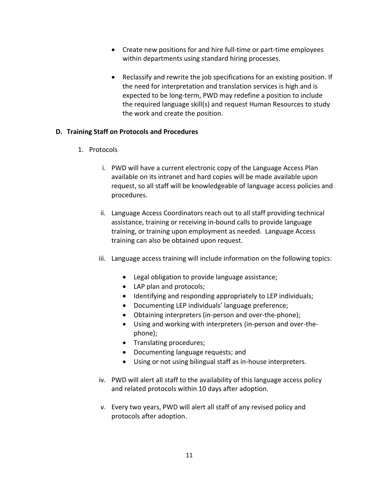- Create new positions for and hire full-time or part-time employees within departments using standard hiring processes.
- Reclassify and rewrite the job specifications for an existing position. If the need for interpretation and translation services is high and is expected to be long-term, PWD may redefine a position to include the required language skill(s) and request Human Resources to study the work and create the position.

#### **D. Training Staff on Protocols and Procedures**

- 1. Protocols
	- i. PWD will have a current electronic copy of the Language Access Plan available on its intranet and hard copies will be made available upon request, so all staff will be knowledgeable of language access policies and procedures.
	- ii. Language Access Coordinators reach out to all staff providing technical assistance, training or receiving in-bound calls to provide language training, or training upon employment as needed. Language Access training can also be obtained upon request.
	- iii. Language access training will include information on the following topics:
		- Legal obligation to provide language assistance;
		- LAP plan and protocols;
		- Identifying and responding appropriately to LEP individuals;
		- Documenting LEP individuals' language preference;
		- Obtaining interpreters (in-person and over-the-phone);
		- Using and working with interpreters (in-person and over-thephone);
		- Translating procedures;
		- Documenting language requests; and
		- Using or not using bilingual staff as in-house interpreters.
	- iv. PWD will alert all staff to the availability of this language access policy and related protocols within 10 days after adoption.
	- v. Every two years, PWD will alert all staff of any revised policy and protocols after adoption.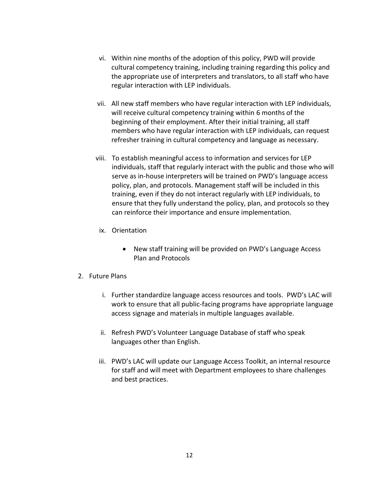- vi. Within nine months of the adoption of this policy, PWD will provide cultural competency training, including training regarding this policy and the appropriate use of interpreters and translators, to all staff who have regular interaction with LEP individuals.
- vii. All new staff members who have regular interaction with LEP individuals, will receive cultural competency training within 6 months of the beginning of their employment. After their initial training, all staff members who have regular interaction with LEP individuals, can request refresher training in cultural competency and language as necessary.
- viii. To establish meaningful access to information and services for LEP individuals, staff that regularly interact with the public and those who will serve as in-house interpreters will be trained on PWD's language access policy, plan, and protocols. Management staff will be included in this training, even if they do not interact regularly with LEP individuals, to ensure that they fully understand the policy, plan, and protocols so they can reinforce their importance and ensure implementation.
	- ix. Orientation
		- New staff training will be provided on PWD's Language Access Plan and Protocols
- 2. Future Plans
	- i. Further standardize language access resources and tools.PWD's LAC will work to ensure that all public-facing programs have appropriate language access signage and materials in multiple languages available.
	- ii. Refresh PWD's Volunteer Language Database of staff who speak languages other than English.
	- iii. PWD's LAC will update our Language Access Toolkit, an internal resource for staff and will meet with Department employees to share challenges and best practices.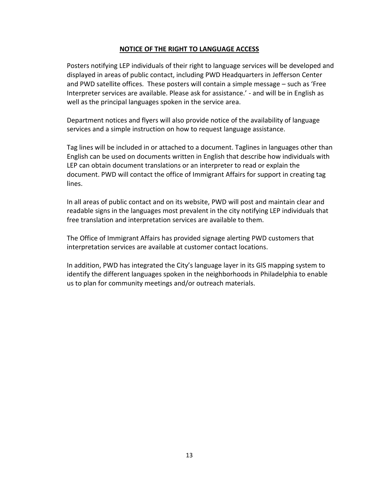#### **NOTICE OF THE RIGHT TO LANGUAGE ACCESS**

Posters notifying LEP individuals of their right to language services will be developed and displayed in areas of public contact, including PWD Headquarters in Jefferson Center and PWD satellite offices. These posters will contain a simple message – such as 'Free Interpreter services are available. Please ask for assistance.' - and will be in English as well as the principal languages spoken in the service area.

Department notices and flyers will also provide notice of the availability of language services and a simple instruction on how to request language assistance.

Tag lines will be included in or attached to a document. Taglines in languages other than English can be used on documents written in English that describe how individuals with LEP can obtain document translations or an interpreter to read or explain the document. PWD will contact the office of Immigrant Affairs for support in creating tag lines.

In all areas of public contact and on its website, PWD will post and maintain clear and readable signs in the languages most prevalent in the city notifying LEP individuals that free translation and interpretation services are available to them.

The Office of Immigrant Affairs has provided signage alerting PWD customers that interpretation services are available at customer contact locations.

In addition, PWD has integrated the City's language layer in its GIS mapping system to identify the different languages spoken in the neighborhoods in Philadelphia to enable us to plan for community meetings and/or outreach materials.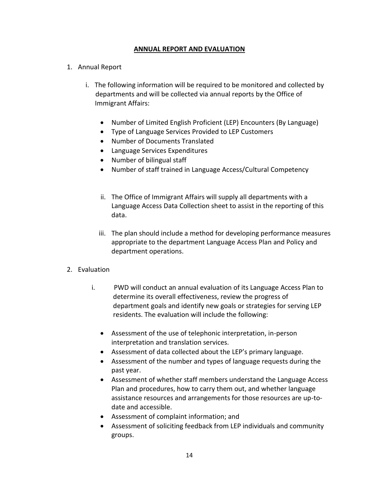#### **ANNUAL REPORT AND EVALUATION**

- 1. Annual Report
	- i. The following information will be required to be monitored and collected by departments and will be collected via annual reports by the Office of Immigrant Affairs:
		- Number of Limited English Proficient (LEP) Encounters (By Language)
		- Type of Language Services Provided to LEP Customers
		- Number of Documents Translated
		- Language Services Expenditures
		- Number of bilingual staff
		- Number of staff trained in Language Access/Cultural Competency
		- ii. The Office of Immigrant Affairs will supply all departments with a Language Access Data Collection sheet to assist in the reporting of this data.
		- iii. The plan should include a method for developing performance measures appropriate to the department Language Access Plan and Policy and department operations.
- 2. Evaluation
	- i. PWD will conduct an annual evaluation of its Language Access Plan to determine its overall effectiveness, review the progress of department goals and identify new goals or strategies for serving LEP residents. The evaluation will include the following:
		- Assessment of the use of telephonic interpretation, in-person interpretation and translation services.
		- Assessment of data collected about the LEP's primary language.
		- Assessment of the number and types of language requests during the past year.
		- Assessment of whether staff members understand the Language Access Plan and procedures, how to carry them out, and whether language assistance resources and arrangements for those resources are up-todate and accessible.
		- Assessment of complaint information; and
		- Assessment of soliciting feedback from LEP individuals and community groups.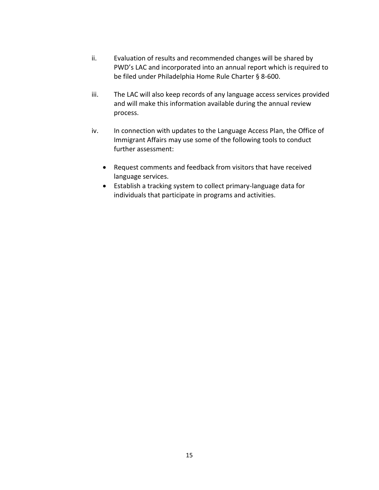- ii. Evaluation of results and recommended changes will be shared by PWD's LAC and incorporated into an annual report which is required to be filed under Philadelphia Home Rule Charter § 8-600.
- iii. The LAC will also keep records of any language access services provided and will make this information available during the annual review process.
- iv. In connection with updates to the Language Access Plan, the Office of Immigrant Affairs may use some of the following tools to conduct further assessment:
	- Request comments and feedback from visitors that have received language services.
	- Establish a tracking system to collect primary-language data for individuals that participate in programs and activities.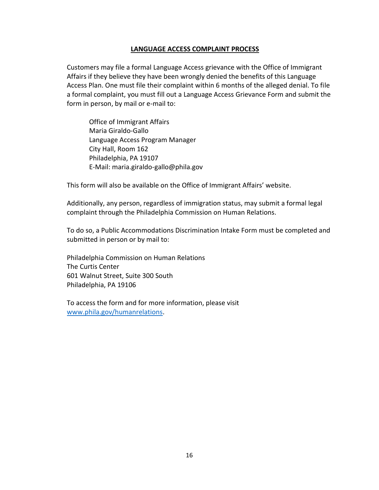#### **LANGUAGE ACCESS COMPLAINT PROCESS**

Customers may file a formal Language Access grievance with the Office of Immigrant Affairs if they believe they have been wrongly denied the benefits of this Language Access Plan. One must file their complaint within 6 months of the alleged denial. To file a formal complaint, you must fill out a Language Access Grievance Form and submit the form in person, by mail or e-mail to:

Office of Immigrant Affairs Maria Giraldo-Gallo Language Access Program Manager City Hall, Room 162 Philadelphia, PA 19107 E-Mail: maria.giraldo-gallo@phila.gov

This form will also be available on the Office of Immigrant Affairs' website.

Additionally, any person, regardless of immigration status, may submit a formal legal complaint through the Philadelphia Commission on Human Relations.

To do so, a Public Accommodations Discrimination Intake Form must be completed and submitted in person or by mail to:

Philadelphia Commission on Human Relations The Curtis Center 601 Walnut Street, Suite 300 South Philadelphia, PA 19106

To access the form and for more information, please visit [www.phila.gov/humanrelations.](http://www.phila.gov/humanrelations)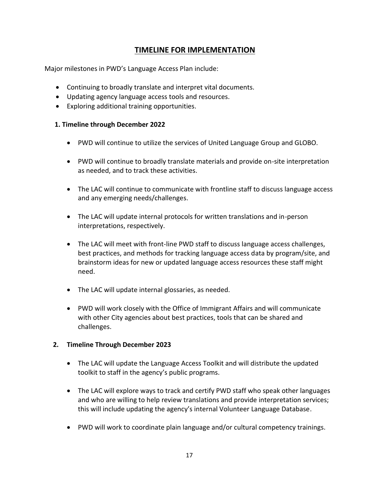# **TIMELINE FOR IMPLEMENTATION**

Major milestones in PWD's Language Access Plan include:

- Continuing to broadly translate and interpret vital documents.
- Updating agency language access tools and resources.
- Exploring additional training opportunities.

#### **1. Timeline through December 2022**

- PWD will continue to utilize the services of United Language Group and GLOBO.
- PWD will continue to broadly translate materials and provide on-site interpretation as needed, and to track these activities.
- The LAC will continue to communicate with frontline staff to discuss language access and any emerging needs/challenges.
- The LAC will update internal protocols for written translations and in-person interpretations, respectively.
- The LAC will meet with front-line PWD staff to discuss language access challenges, best practices, and methods for tracking language access data by program/site, and brainstorm ideas for new or updated language access resources these staff might need.
- The LAC will update internal glossaries, as needed.
- PWD will work closely with the Office of Immigrant Affairs and will communicate with other City agencies about best practices, tools that can be shared and challenges.

## **2. Timeline Through December 2023**

- The LAC will update the Language Access Toolkit and will distribute the updated toolkit to staff in the agency's public programs.
- The LAC will explore ways to track and certify PWD staff who speak other languages and who are willing to help review translations and provide interpretation services; this will include updating the agency's internal Volunteer Language Database.
- PWD will work to coordinate plain language and/or cultural competency trainings.